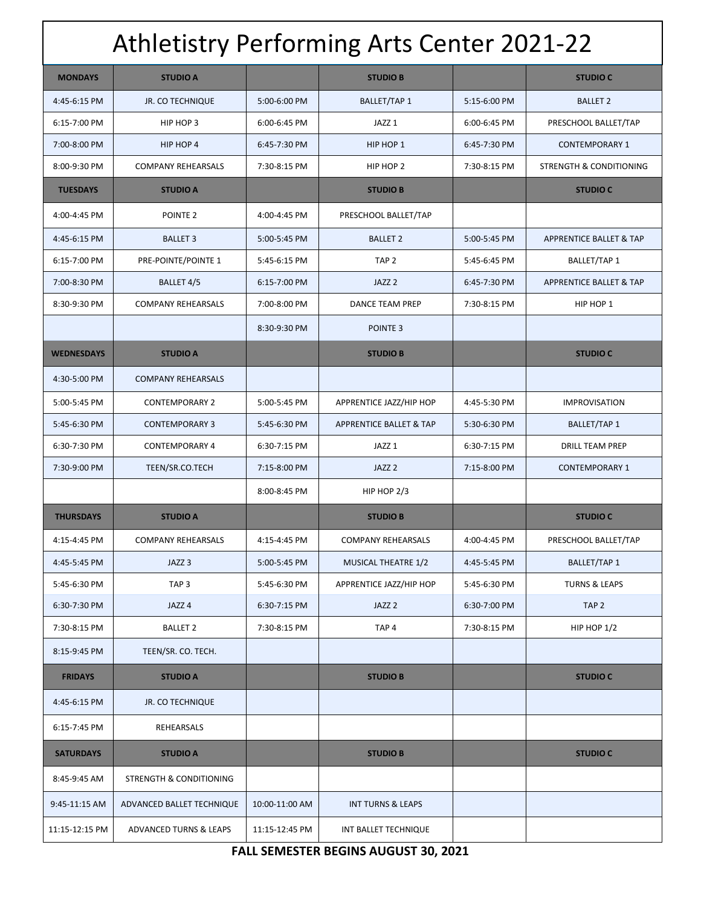| <b>Athletistry Performing Arts Center 2021-22</b> |                                    |                |                                    |              |                                    |  |
|---------------------------------------------------|------------------------------------|----------------|------------------------------------|--------------|------------------------------------|--|
| <b>MONDAYS</b>                                    | <b>STUDIO A</b>                    |                | <b>STUDIO B</b>                    |              | <b>STUDIO C</b>                    |  |
| 4:45-6:15 PM                                      | <b>JR. CO TECHNIQUE</b>            | 5:00-6:00 PM   | <b>BALLET/TAP 1</b>                | 5:15-6:00 PM | <b>BALLET 2</b>                    |  |
| 6:15-7:00 PM                                      | HIP HOP 3                          | 6:00-6:45 PM   | JAZZ <sub>1</sub>                  | 6:00-6:45 PM | PRESCHOOL BALLET/TAP               |  |
| 7:00-8:00 PM                                      | HIP HOP 4                          | 6:45-7:30 PM   | HIP HOP 1                          | 6:45-7:30 PM | <b>CONTEMPORARY 1</b>              |  |
| 8:00-9:30 PM                                      | <b>COMPANY REHEARSALS</b>          | 7:30-8:15 PM   | HIP HOP 2                          | 7:30-8:15 PM | <b>STRENGTH &amp; CONDITIONING</b> |  |
| <b>TUESDAYS</b>                                   | <b>STUDIO A</b>                    |                | <b>STUDIO B</b>                    |              | <b>STUDIO C</b>                    |  |
| 4:00-4:45 PM                                      | POINTE <sub>2</sub>                | 4:00-4:45 PM   | PRESCHOOL BALLET/TAP               |              |                                    |  |
| 4:45-6:15 PM                                      | <b>BALLET 3</b>                    | 5:00-5:45 PM   | <b>BALLET 2</b>                    | 5:00-5:45 PM | APPRENTICE BALLET & TAP            |  |
| 6:15-7:00 PM                                      | PRE-POINTE/POINTE 1                | 5:45-6:15 PM   | TAP <sub>2</sub>                   | 5:45-6:45 PM | BALLET/TAP 1                       |  |
| 7:00-8:30 PM                                      | BALLET 4/5                         | 6:15-7:00 PM   | JAZZ <sub>2</sub>                  | 6:45-7:30 PM | <b>APPRENTICE BALLET &amp; TAP</b> |  |
| 8:30-9:30 PM                                      | <b>COMPANY REHEARSALS</b>          | 7:00-8:00 PM   | DANCE TEAM PREP                    | 7:30-8:15 PM | HIP HOP 1                          |  |
|                                                   |                                    | 8:30-9:30 PM   | POINTE <sub>3</sub>                |              |                                    |  |
| <b>WEDNESDAYS</b>                                 | <b>STUDIO A</b>                    |                | <b>STUDIO B</b>                    |              | <b>STUDIO C</b>                    |  |
| 4:30-5:00 PM                                      | <b>COMPANY REHEARSALS</b>          |                |                                    |              |                                    |  |
| 5:00-5:45 PM                                      | <b>CONTEMPORARY 2</b>              | 5:00-5:45 PM   | APPRENTICE JAZZ/HIP HOP            | 4:45-5:30 PM | <b>IMPROVISATION</b>               |  |
| 5:45-6:30 PM                                      | <b>CONTEMPORARY 3</b>              | 5:45-6:30 PM   | <b>APPRENTICE BALLET &amp; TAP</b> | 5:30-6:30 PM | BALLET/TAP 1                       |  |
| 6:30-7:30 PM                                      | <b>CONTEMPORARY 4</b>              | 6:30-7:15 PM   | JAZZ <sub>1</sub>                  | 6:30-7:15 PM | <b>DRILL TEAM PREP</b>             |  |
| 7:30-9:00 PM                                      | TEEN/SR.CO.TECH                    | 7:15-8:00 PM   | JAZZ <sub>2</sub>                  | 7:15-8:00 PM | <b>CONTEMPORARY 1</b>              |  |
|                                                   |                                    | 8:00-8:45 PM   | HIP HOP $2/3$                      |              |                                    |  |
| <b>THURSDAYS</b>                                  | <b>STUDIO A</b>                    |                | <b>STUDIO B</b>                    |              | <b>STUDIO C</b>                    |  |
| 4:15-4:45 PM                                      | <b>COMPANY REHEARSALS</b>          | 4:15-4:45 PM   | <b>COMPANY REHEARSALS</b>          | 4:00-4:45 PM | PRESCHOOL BALLET/TAP               |  |
| 4:45-5:45 PM                                      | JAZZ <sub>3</sub>                  | 5:00-5:45 PM   | MUSICAL THEATRE 1/2                | 4:45-5:45 PM | <b>BALLET/TAP 1</b>                |  |
| 5:45-6:30 PM                                      | TAP <sub>3</sub>                   | 5:45-6:30 PM   | APPRENTICE JAZZ/HIP HOP            | 5:45-6:30 PM | <b>TURNS &amp; LEAPS</b>           |  |
| 6:30-7:30 PM                                      | JAZZ <sub>4</sub>                  | 6:30-7:15 PM   | JAZZ <sub>2</sub>                  | 6:30-7:00 PM | TAP <sub>2</sub>                   |  |
| 7:30-8:15 PM                                      | <b>BALLET 2</b>                    | 7:30-8:15 PM   | TAP <sub>4</sub>                   | 7:30-8:15 PM | HIP HOP $1/2$                      |  |
| 8:15-9:45 PM                                      | TEEN/SR. CO. TECH.                 |                |                                    |              |                                    |  |
| <b>FRIDAYS</b>                                    | <b>STUDIO A</b>                    |                | <b>STUDIO B</b>                    |              | <b>STUDIO C</b>                    |  |
| 4:45-6:15 PM                                      | <b>JR. CO TECHNIQUE</b>            |                |                                    |              |                                    |  |
| 6:15-7:45 PM                                      | REHEARSALS                         |                |                                    |              |                                    |  |
| <b>SATURDAYS</b>                                  | <b>STUDIO A</b>                    |                | <b>STUDIO B</b>                    |              | <b>STUDIO C</b>                    |  |
| 8:45-9:45 AM                                      | <b>STRENGTH &amp; CONDITIONING</b> |                |                                    |              |                                    |  |
| 9:45-11:15 AM                                     | ADVANCED BALLET TECHNIQUE          | 10:00-11:00 AM | <b>INT TURNS &amp; LEAPS</b>       |              |                                    |  |
| 11:15-12:15 PM                                    | ADVANCED TURNS & LEAPS             | 11:15-12:45 PM | INT BALLET TECHNIQUE               |              |                                    |  |

**FALL SEMESTER BEGINS AUGUST 30, 2021**